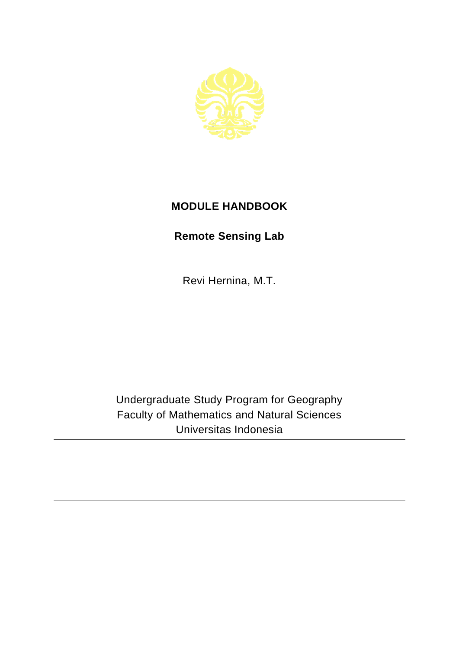

## **MODULE HANDBOOK**

## **Remote Sensing Lab**

Revi Hernina, M.T.

Undergraduate Study Program for Geography Faculty of Mathematics and Natural Sciences Universitas Indonesia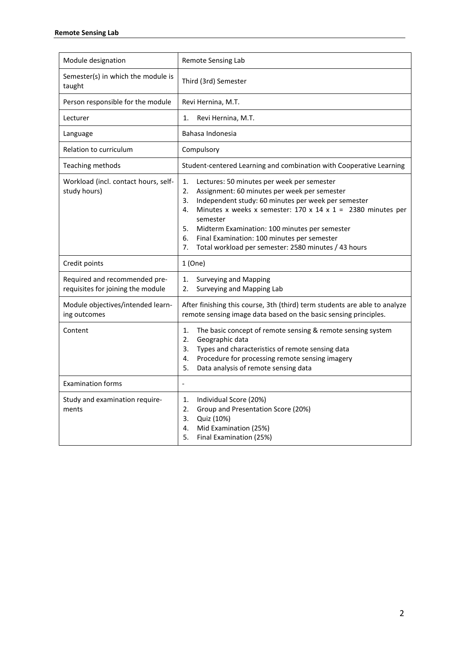| Module designation                                                 | Remote Sensing Lab                                                                                                                                                                                                                                                                                                                                                                                                                         |
|--------------------------------------------------------------------|--------------------------------------------------------------------------------------------------------------------------------------------------------------------------------------------------------------------------------------------------------------------------------------------------------------------------------------------------------------------------------------------------------------------------------------------|
| Semester(s) in which the module is<br>taught                       | Third (3rd) Semester                                                                                                                                                                                                                                                                                                                                                                                                                       |
| Person responsible for the module                                  | Revi Hernina, M.T.                                                                                                                                                                                                                                                                                                                                                                                                                         |
| Lecturer                                                           | 1.<br>Revi Hernina, M.T.                                                                                                                                                                                                                                                                                                                                                                                                                   |
| Language                                                           | Bahasa Indonesia                                                                                                                                                                                                                                                                                                                                                                                                                           |
| Relation to curriculum                                             | Compulsory                                                                                                                                                                                                                                                                                                                                                                                                                                 |
| Teaching methods                                                   | Student-centered Learning and combination with Cooperative Learning                                                                                                                                                                                                                                                                                                                                                                        |
| Workload (incl. contact hours, self-<br>study hours)               | 1.<br>Lectures: 50 minutes per week per semester<br>2.<br>Assignment: 60 minutes per week per semester<br>Independent study: 60 minutes per week per semester<br>3.<br>Minutes x weeks x semester: $170 \times 14 \times 1 = 2380$ minutes per<br>4.<br>semester<br>5.<br>Midterm Examination: 100 minutes per semester<br>6.<br>Final Examination: 100 minutes per semester<br>7.<br>Total workload per semester: 2580 minutes / 43 hours |
| Credit points                                                      | 1(One)                                                                                                                                                                                                                                                                                                                                                                                                                                     |
| Required and recommended pre-<br>requisites for joining the module | 1.<br><b>Surveying and Mapping</b><br>2.<br>Surveying and Mapping Lab                                                                                                                                                                                                                                                                                                                                                                      |
| Module objectives/intended learn-<br>ing outcomes                  | After finishing this course, 3th (third) term students are able to analyze<br>remote sensing image data based on the basic sensing principles.                                                                                                                                                                                                                                                                                             |
| Content                                                            | 1.<br>The basic concept of remote sensing & remote sensing system<br>2.<br>Geographic data<br>Types and characteristics of remote sensing data<br>3.<br>Procedure for processing remote sensing imagery<br>4.<br>Data analysis of remote sensing data<br>5.                                                                                                                                                                                |
| <b>Examination forms</b>                                           | $\frac{1}{2}$                                                                                                                                                                                                                                                                                                                                                                                                                              |
| Study and examination require-<br>ments                            | Individual Score (20%)<br>1.<br>Group and Presentation Score (20%)<br>2.<br>3.<br>Quiz (10%)<br>Mid Examination (25%)<br>4.<br>Final Examination (25%)<br>5.                                                                                                                                                                                                                                                                               |